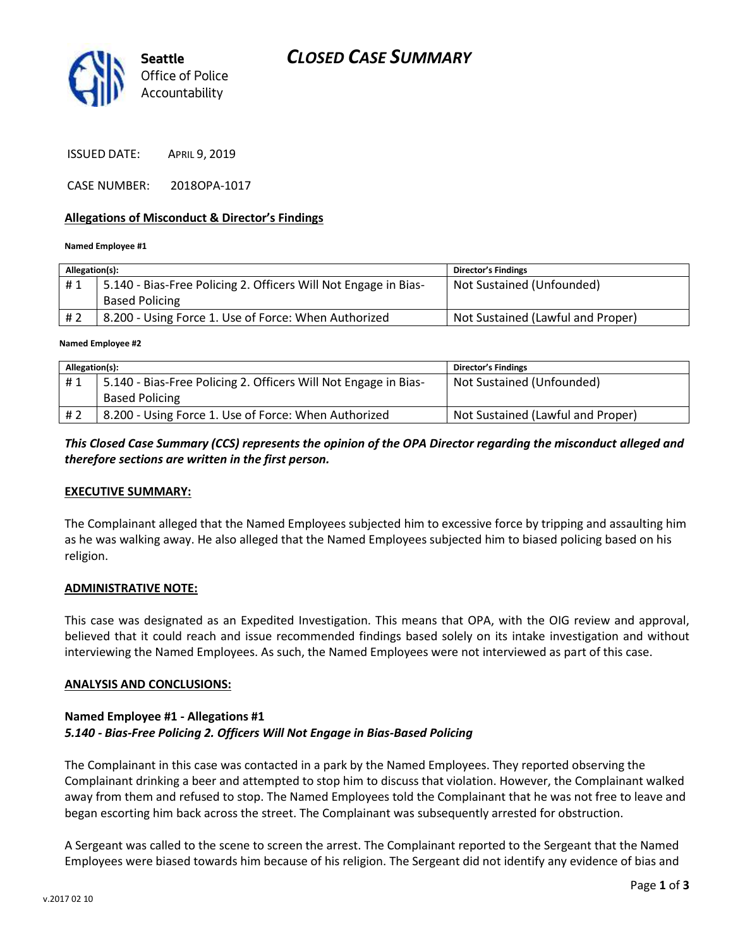

ISSUED DATE: APRIL 9, 2019

CASE NUMBER: 2018OPA-1017

### **Allegations of Misconduct & Director's Findings**

#### **Named Employee #1**

| Allegation(s): |                                                                 | <b>Director's Findings</b>        |
|----------------|-----------------------------------------------------------------|-----------------------------------|
| #1             | 5.140 - Bias-Free Policing 2. Officers Will Not Engage in Bias- | Not Sustained (Unfounded)         |
|                | <b>Based Policing</b>                                           |                                   |
| # 2            | 8.200 - Using Force 1. Use of Force: When Authorized            | Not Sustained (Lawful and Proper) |

#### **Named Employee #2**

| Allegation(s): |                                                                 | <b>Director's Findings</b>        |
|----------------|-----------------------------------------------------------------|-----------------------------------|
| #1             | 5.140 - Bias-Free Policing 2. Officers Will Not Engage in Bias- | Not Sustained (Unfounded)         |
|                | <b>Based Policing</b>                                           |                                   |
| #2             | 8.200 - Using Force 1. Use of Force: When Authorized            | Not Sustained (Lawful and Proper) |

### *This Closed Case Summary (CCS) represents the opinion of the OPA Director regarding the misconduct alleged and therefore sections are written in the first person.*

### **EXECUTIVE SUMMARY:**

The Complainant alleged that the Named Employees subjected him to excessive force by tripping and assaulting him as he was walking away. He also alleged that the Named Employees subjected him to biased policing based on his religion.

### **ADMINISTRATIVE NOTE:**

This case was designated as an Expedited Investigation. This means that OPA, with the OIG review and approval, believed that it could reach and issue recommended findings based solely on its intake investigation and without interviewing the Named Employees. As such, the Named Employees were not interviewed as part of this case.

### **ANALYSIS AND CONCLUSIONS:**

### **Named Employee #1 - Allegations #1** *5.140 - Bias-Free Policing 2. Officers Will Not Engage in Bias-Based Policing*

The Complainant in this case was contacted in a park by the Named Employees. They reported observing the Complainant drinking a beer and attempted to stop him to discuss that violation. However, the Complainant walked away from them and refused to stop. The Named Employees told the Complainant that he was not free to leave and began escorting him back across the street. The Complainant was subsequently arrested for obstruction.

A Sergeant was called to the scene to screen the arrest. The Complainant reported to the Sergeant that the Named Employees were biased towards him because of his religion. The Sergeant did not identify any evidence of bias and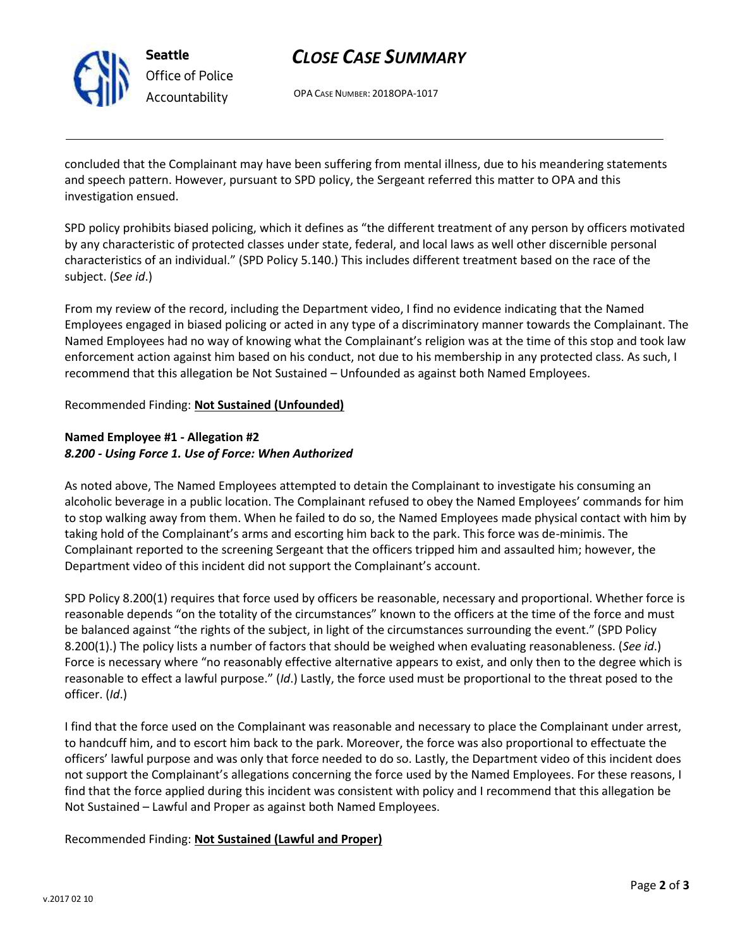

**Seattle** *Office of Police Accountability*

# *CLOSE CASE SUMMARY*

OPA CASE NUMBER: 2018OPA-1017

concluded that the Complainant may have been suffering from mental illness, due to his meandering statements and speech pattern. However, pursuant to SPD policy, the Sergeant referred this matter to OPA and this investigation ensued.

SPD policy prohibits biased policing, which it defines as "the different treatment of any person by officers motivated by any characteristic of protected classes under state, federal, and local laws as well other discernible personal characteristics of an individual." (SPD Policy 5.140.) This includes different treatment based on the race of the subject. (*See id*.)

From my review of the record, including the Department video, I find no evidence indicating that the Named Employees engaged in biased policing or acted in any type of a discriminatory manner towards the Complainant. The Named Employees had no way of knowing what the Complainant's religion was at the time of this stop and took law enforcement action against him based on his conduct, not due to his membership in any protected class. As such, I recommend that this allegation be Not Sustained – Unfounded as against both Named Employees.

## Recommended Finding: **Not Sustained (Unfounded)**

# **Named Employee #1 - Allegation #2** *8.200 - Using Force 1. Use of Force: When Authorized*

As noted above, The Named Employees attempted to detain the Complainant to investigate his consuming an alcoholic beverage in a public location. The Complainant refused to obey the Named Employees' commands for him to stop walking away from them. When he failed to do so, the Named Employees made physical contact with him by taking hold of the Complainant's arms and escorting him back to the park. This force was de-minimis. The Complainant reported to the screening Sergeant that the officers tripped him and assaulted him; however, the Department video of this incident did not support the Complainant's account.

SPD Policy 8.200(1) requires that force used by officers be reasonable, necessary and proportional. Whether force is reasonable depends "on the totality of the circumstances" known to the officers at the time of the force and must be balanced against "the rights of the subject, in light of the circumstances surrounding the event." (SPD Policy 8.200(1).) The policy lists a number of factors that should be weighed when evaluating reasonableness. (*See id*.) Force is necessary where "no reasonably effective alternative appears to exist, and only then to the degree which is reasonable to effect a lawful purpose." (*Id*.) Lastly, the force used must be proportional to the threat posed to the officer. (*Id*.)

I find that the force used on the Complainant was reasonable and necessary to place the Complainant under arrest, to handcuff him, and to escort him back to the park. Moreover, the force was also proportional to effectuate the officers' lawful purpose and was only that force needed to do so. Lastly, the Department video of this incident does not support the Complainant's allegations concerning the force used by the Named Employees. For these reasons, I find that the force applied during this incident was consistent with policy and I recommend that this allegation be Not Sustained – Lawful and Proper as against both Named Employees.

# Recommended Finding: **Not Sustained (Lawful and Proper)**